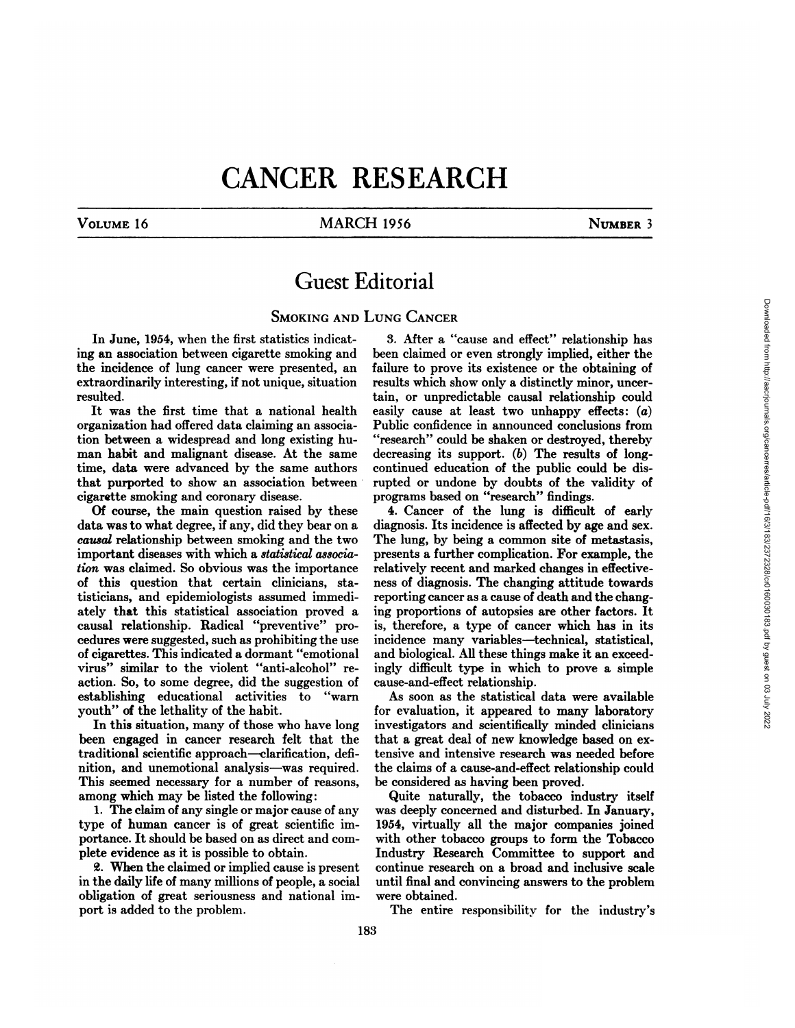# **CANCER RESEARCH**

## VOLUME 16 MARCH 1956 NUMBER 3

## **Guest Editorial**

### SMOKING AND LUNG CANCER

In June, 1954, when the first statistics indicat ing an association between cigarette smoking and the incidence of lung cancer were presented, an extraordinarily interesting, if not unique, situation resulted.

It was the first time that a national health organization had offered data claiming an associa tion between a widespread and long existing hu man habit and malignant disease. At the same time, data were advanced by the same authors that purported to show an association between• cigarette smoking and coronary disease.

Of course, the main question raised by these data was to what degree, if any, did they bear on a *causal relationship between smoking and the two* important diseases with which a statistical associa*lion was claimed. So obvious was the importance* of this question that certain clinicians, sta tisticians, and epidemiologists assumed immedi ately that this statistical association proved a causal relationship. Radical "preventive" procedures were suggested, such as prohibiting the use of cigarettes. This indicated a dormant "emotional virus" similar to the violent "anti-alcohol" reaction. So, to some degree, did the suggestion of establishing educational activities to "warn youth" of the lethality of the habit.

In this situation, many of those who have long been engaged in cancer research felt that the traditional scientific approach—clarification, defi nition, and unemotional analysis—was required. This seemed necessary for a number of reasons, among which may be listed the following:

1. The claim of any single or major cause of any type of human cancer is of great scientific im portance. It should be based on as direct and com plete evidence as it is possible to obtain.

@. When the claimed or implied cause is present in the daily life of many millions of people, a social obligation of great seriousness and national im port is added to the problem.

3. After a "cause and effect" relationship has been claimed or even strongly implied, either the failure to prove its existence or the obtaining of results which show only a distinctly minor, uncer tain, or unpredictable causal relationship could easily cause at least two unhappy effects:  $(a)$ Public confidence in announced conclusions from "research" could be shaken or destroyed, thereby decreasing its support. (b) The results of longcontinued education of the public could be dis rupted or undone by doubts of the validity of programs based on "research" findings.

4. Cancer of the lung is difficult of early diagnosis. Its incidence is affected by age and sex. The lung, by being a common site of metastasis, presents a further complication. For example, the relatively recent and marked changes in effective ness of diagnosis. The changing attitude towards reporting cancer as a cause of death and the chang ing proportions of autopsies are other factors. It is, therefore, a type of cancer which has in its incidence many variables—technical, statistical, and biological. All these things make it an exceedingly difficult type in which to prove a simple cause-and-effect relationship.

As soon as the statistical data were available for evaluation, it appeared to many laboratory investigators and scientifically minded clinicians that a great deal of new knowledge based on ex tensive and intensive research was needed before the claims of a cause-and-effect relationship could be considered as having been proved.

Quite naturally, the tobacco industry itself was deeply concerned and disturbed. In January, 1954, virtually all the major companies joined with other tobacco groups to form the Tobacco Industry Research Committee to support and continue research on a broad and inclusive scale until final and convincing answers to the problem were obtained.

The entire responsibility for the industry's